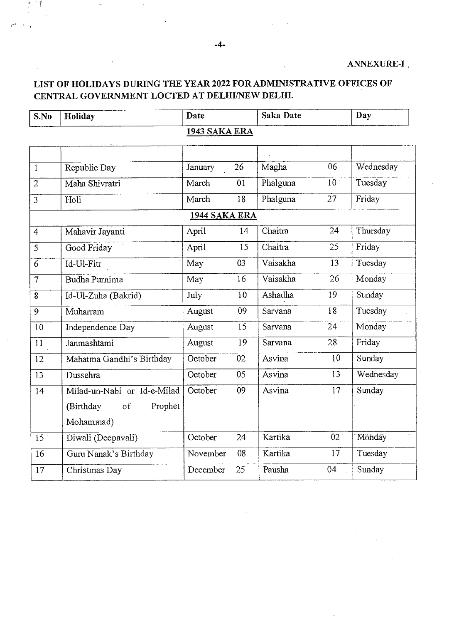### LIST OF HOLIDAYS DURING THE YEAR 2022 FOR ADMINISTRATIVE OFFICES OF CENTRAL GOVERNMENT LOCTED AT DELHI/NEW DELHI.

| S.No              | Holiday                     | Date          |    | <b>Saka Date</b> |                 | Day       |  |
|-------------------|-----------------------------|---------------|----|------------------|-----------------|-----------|--|
| 1943 SAKA ERA     |                             |               |    |                  |                 |           |  |
|                   |                             |               |    |                  |                 |           |  |
| $\mathbf{1}$      | Republic Day                | January       | 26 | Magha            | 06              | Wednesday |  |
| $\overline{2}$    | Maha Shivratri              | March         | 01 | Phalguna         | 10 <sup>1</sup> | Tuesday   |  |
| $\overline{3}$    | Holi                        | March         | 18 | Phalguna         | 27              | Friday    |  |
|                   |                             | 1944 SAKA ERA |    |                  |                 |           |  |
| $\overline{4}$    | Mahavir Jayanti             | April         | 14 | Chaitra          | 24              | Thursday  |  |
| $\overline{5}$    | Good Friday                 | April         | 15 | Chaitra          | 25              | Friday    |  |
| $\overline{6}$    | Id-Ul-Fitr                  | May           | 03 | Vaisakha         | 13              | Tuesday   |  |
| $\overline{\tau}$ | Budha Purnima               | May           | 16 | Vaisakha         | 26              | Monday    |  |
| $\overline{8}$    | Id-Ul-Zuha (Bakrid)         | July          | 10 | Ashadha          | 19              | Sunday    |  |
| $\overline{9}$    | Muharram                    | August        | 09 | Sarvana          | 18              | Tuesday   |  |
| 10                | Independence Day            | August        | 15 | Sarvana          | 24              | Monday    |  |
| 11                | Janmashtami                 | August        | 19 | Sarvana          | 28              | Friday    |  |
| 12                | Mahatma Gandhi's Birthday   | October       | 02 | Asvina           | 10              | Sunday    |  |
| 13                | Dussehra                    | October       | 05 | Asvina           | 13              | Wednesday |  |
| 14                | Milad-un-Nabi or Id-e-Milad | October       | 09 | Asvina           | 17              | Sunday    |  |
|                   | Prophet<br>(Birthday<br>of  |               |    |                  |                 |           |  |
|                   | Mohammad)                   |               |    |                  |                 |           |  |
| 15                | Diwali (Deepavali)          | October       | 24 | Kartika          | 02 <sub>1</sub> | Monday    |  |
| 16                | Guru Nanak's Birthday       | November      | 08 | Kartika          | 17              | Tuesday   |  |
| 17                | Christmas Day               | December      | 25 | Pausha           | 04              | Sunday    |  |

Ť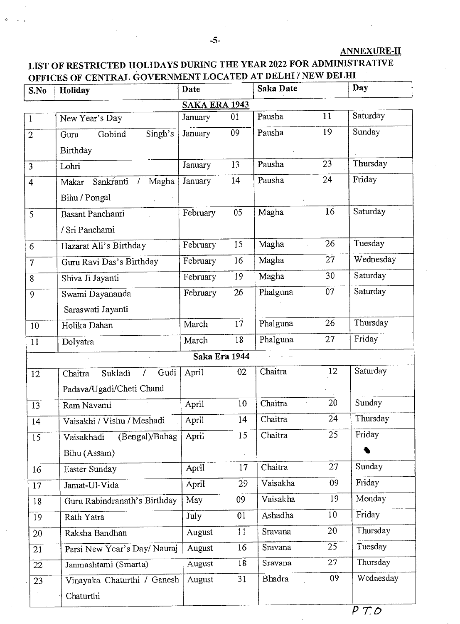#### ANNEXURE-II

## LIST OF RESTRICTED HOLIDAYS DURING THE YEAR 2022 FOR ADMINISTRATIVE OFFICES OF CENTRAL GOVERNMENT LOCATED AT DELHI / NEW DELHI

| S.No                 | Holiday                                  | Date          |    | Saka Date |    | Day       |  |
|----------------------|------------------------------------------|---------------|----|-----------|----|-----------|--|
| <b>SAKA ERA 1943</b> |                                          |               |    |           |    |           |  |
| $\mathbf{1}$         | New Year's Day                           | January       | 01 | Pausha    | 11 | Saturday  |  |
| $\overline{2}$       | Singh's<br>Gobind<br>Guru                | January       | 09 | Pausha    | 19 | Sunday    |  |
|                      | Birthday                                 |               |    |           |    |           |  |
| $\overline{3}$       | Lohri                                    | January       | 13 | Pausha    | 23 | Thursday  |  |
| $\overline{4}$       | Sankranti /<br>Magha<br>Makar            | January       | 14 | Pausha    | 24 | Friday    |  |
|                      | Bihu / Pongal                            |               |    |           |    |           |  |
| 5                    | Basant Panchami                          | February      | 05 | Magha     | 16 | Saturday  |  |
|                      | / Sri Panchami                           |               |    |           |    |           |  |
| 6                    | Hazarat Ali's Birthday                   | February      | 15 | Magha     | 26 | Tuesday   |  |
| $\overline{7}$       | Guru Ravi Das's Birthday                 | February      | 16 | Magha     | 27 | Wednesday |  |
| 8                    | Shiva Ji Jayanti                         | February      | 19 | Magha     | 30 | Saturday  |  |
| 9                    | Swami Dayananda                          | February      | 26 | Phalguna  | 07 | Saturday  |  |
|                      | Saraswati Jayanti                        |               |    |           |    |           |  |
| 10                   | Holika Dahan                             | March         | 17 | Phalguna  | 26 | Thursday  |  |
| 11                   | Dolyatra                                 | March         | 18 | Phalguna  | 27 | Friday    |  |
|                      |                                          | Saka Era 1944 |    |           |    |           |  |
| 12                   | Gudi<br>Sukladi<br>Chaitra<br>$\sqrt{ }$ | April         | 02 | Chaitra   | 12 | Saturday  |  |
|                      | Padava/Ugadi/Cheti Chand                 |               |    |           |    |           |  |
| 13                   | Ram Navami                               | April         | 10 | Chaitra   | 20 | Sunday    |  |
| 14                   | Vaisakhi / Vishu / Meshadi               | April         | 14 | Chaitra   | 24 | Thursday  |  |
| 15                   | (Bengal)/Bahag<br>Vaisakhadi             | April         | 15 | Chaitra   | 25 | Friday    |  |
|                      | Bihu (Assam)                             |               |    |           |    |           |  |
| 16                   | Easter Sunday                            | April         | 17 | Chaitra   | 27 | Sunday    |  |
| 17                   | Jamat-Ul-Vida                            | April         | 29 | Vaisakha  | 09 | Friday    |  |
| 18                   | Guru Rabindranath's Birthday             | May           | 09 | Vaisakha  | 19 | Monday    |  |
| 19                   | Rath Yatra                               | July          | 01 | Ashadha   | 10 | Friday    |  |
| 20 <sub>2</sub>      | Raksha Bandhan                           | August        | 11 | Sravana   | 20 | Thursday  |  |
| 21                   | Parsi New Year's Day/Nauraj              | August        | 16 | Sravana   | 25 | Tuesday   |  |
| 22                   | Janmashtami (Smarta)                     | August        | 18 | Sravana   | 27 | Thursday  |  |
| 23                   | Vinayaka Chaturthi / Ganesh              | August        | 31 | Bhadra    | 09 | Wednesday |  |
|                      | Chaturthi                                |               |    |           |    |           |  |
|                      |                                          |               |    |           |    |           |  |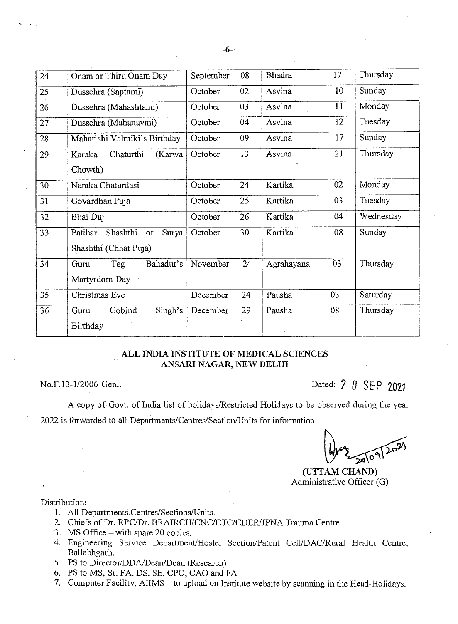| 24              | Onam or Thiru Onam Day                    | September | 08 | <b>Bhadra</b> | 17 | Thursday  |
|-----------------|-------------------------------------------|-----------|----|---------------|----|-----------|
| 25              | Dussehra (Saptami)                        | October   | 02 | Asvina        | 10 | Sunday    |
| 26              | Dussehra (Mahashtami)                     | October   | 03 | Asvina        | 11 | Monday    |
| 27              | Dussehra (Mahanavmi)                      | October   | 04 | Asvina        | 12 | Tuesday   |
| 28              | Maharishi Valmiki's Birthday              | October   | 09 | Asvina        | 17 | Sunday    |
| 29              | Chaturthi<br>(Karwa<br>Karaka             | October   | 13 | Asvina        | 21 | Thursday  |
|                 | Chowth)                                   |           |    |               |    |           |
| 30              | Naraka Chaturdasi                         | October   | 24 | Kartika       | 02 | Monday    |
| 31              | Govardhan Puja                            | October   | 25 | Kartika       | 03 | Tuesday   |
| 32              | Bhai Duj                                  | October   | 26 | Kartika       | 04 | Wednesday |
| 33 <sup>°</sup> | Shashthi<br>Patihar<br>Surya<br><b>or</b> | October   | 30 | Kartika       | 08 | Sunday    |
|                 | Shashthi (Chhat Puja)                     |           |    |               |    |           |
| 34              | Teg<br>Bahadur's<br>Guru                  | November  | 24 | Agrahayana    | 03 | Thursday  |
|                 | Martyrdom Day                             |           |    |               |    |           |
| 35              | Christmas Eve                             | December  | 24 | Pausha        | 03 | Saturday  |
| 36              | Gobind<br>Singh's<br>Guru                 | December  | 29 | Pausha        | 08 | Thursday  |
|                 | <b>Birthday</b>                           |           |    |               |    |           |
|                 |                                           |           |    |               |    |           |

#### ALL INDIA INSTITUTE OF MEDICAL SCIENCES ANSARI NAGAR, NEW DELHI

No.F.13-1/2006-Genl. Dated: 2 0 SEP 7021

A copy of Govt. of India list of holidays/Restricted Holidays to be observed during the year 2022 is forwarded to all Departments/Centres/Section/Units for information.

 $20$ 

(UTTAM CHAND) Administrative Officer (G)

#### Distribution:

- 1. All Departments.Centres/Sections/Units.
- 2. Chiefs of Dr. RPC/Dr. BRAIRCH/CNC/CTC/CDER/JPNA Trauma Centre.
- 3. MS Office with spare 20 copies.
- 4. Engineering Service Department/Hostel Section/Patent Cell/DAC/Rural Health Centre, Ballabhgarh.
- 5. PS to Director/DDA/Dean/Dean (Research)
- 6. PS to MS, Sr. FA, DS, SE, CPO, CAO and FA
- 7. Computer Facility, AIIMS to upload on Institute website by scanning in the Head-Holidays.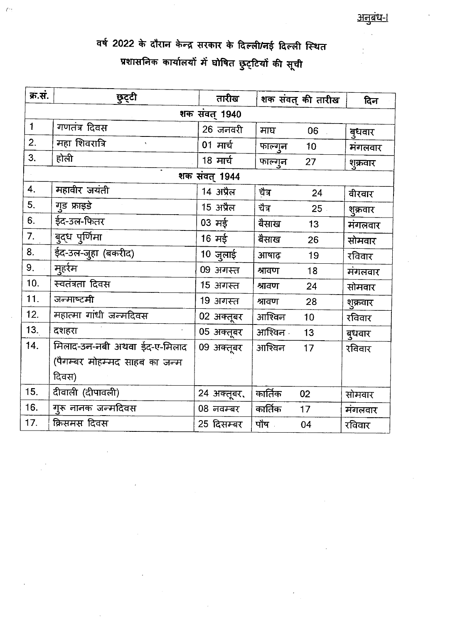ċ

वर्ष 2022 के दौरान केन्द्र सरकार के दिल्ली/नई दिल्ली स्थित प्रशासनिक कार्यालयों में घोषित छुट्टियों की सूची

 $\ell$ <sup>-</sup>

| क्र.सं.       | छुट्टी                        | तारीख       |          | शक संवत् की तारीख | दिन      |  |  |  |  |
|---------------|-------------------------------|-------------|----------|-------------------|----------|--|--|--|--|
| शक संवत् 1940 |                               |             |          |                   |          |  |  |  |  |
| $\mathbf{1}$  | गणतंत्र दिवस                  | 26 जनवरी    | माघ      | 06                | बुधवार   |  |  |  |  |
| 2.            | महा शिवरात्रि                 | 01 मार्च    | फाल्गुन  | 10                | मंगलवार  |  |  |  |  |
| 3.            | होली                          | 18 मार्च    | फाल्गुन  | 27                | शुक्रवार |  |  |  |  |
|               | शक संवत् 1944                 |             |          |                   |          |  |  |  |  |
| 4.            | महावीर जयंती                  | 14 अप्रैल   | चैत्र    | 24                | वीरवार   |  |  |  |  |
| 5.            | गुड फ्राइडे                   | 15 अप्रैल   | चैत्र    | 25 <sub>1</sub>   | शुक्रवार |  |  |  |  |
| 6.            | ईद-उल-फितर                    | $03$ मई     | बैसाख    | 13                | मंगलवार  |  |  |  |  |
| 7.            | बुद्ध पुर्णिमा                | 16 मई       | बैसाख    | 26                | सोमवार   |  |  |  |  |
| 8.            | ईद-उल-जुहा (बकरीद)            | 10 जुलाई    | आषाढ़    | 19                | रविवार   |  |  |  |  |
| 9.            | मुहर्रम                       | 09 अगस्त    | श्रावण   | 18                | मंगलवार  |  |  |  |  |
| 10.           | स्वतंत्रता दिवस               | 15 अगस्त    | श्रावण   | 24                | सोमवार   |  |  |  |  |
| 11.           | जन्माष्टमी                    | 19 अगस्त    | श्रावण   | 28                | शुक्रवार |  |  |  |  |
| 12.           | महात्मा गांधी जन्मदिवस        | 02 अक्तूबर  | आश्विन   | 10                | रविवार   |  |  |  |  |
| 13.           | दशहरा                         | 05 अक्तूबर  | आश्विन - | 13                | बुधवार   |  |  |  |  |
| 14.           | मिलाद-उन-नबी अथवा ईद-ए-मिलाद  | 09 अक्तूबर  | आश्विन   | 17                | रविवार   |  |  |  |  |
|               | (पैगम्बर मोहम्मद साहब का जन्म |             |          |                   |          |  |  |  |  |
|               | दिवस)                         |             |          |                   |          |  |  |  |  |
| 15.           | दीवाली (दीपावली)              | 24 अक्तूबर, | कार्तिक  | 02                | सोमवार   |  |  |  |  |
| 16.           | गुरू नानक जन्मदिवस            | 08 नवम्बर   | कार्तिक  | 17 <sub>2</sub>   | मंगलवार  |  |  |  |  |
| 17.           | क्रिसमस दिवस                  | 25 दिसम्बर  | पौष      | 04                | रविवार   |  |  |  |  |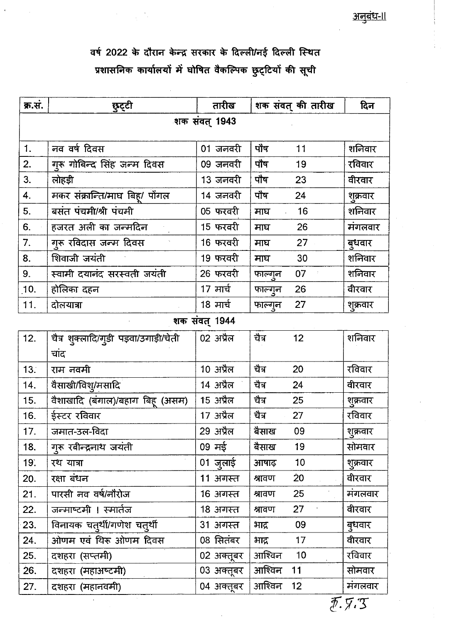# वर्ष 2022 के दौरान केन्द्र सरकार के दिल्ली/नई दिल्ली स्थित प्रशासनिक कार्यालयों में घोषित वैकल्पिक छुट्टियों की सूची

 $\frac{1}{2} \sum_{i=1}^n \frac{1}{2} \sum_{j=1}^n \frac{1}{2} \sum_{j=1}^n \frac{1}{2} \sum_{j=1}^n \frac{1}{2} \sum_{j=1}^n \frac{1}{2} \sum_{j=1}^n \frac{1}{2} \sum_{j=1}^n \frac{1}{2} \sum_{j=1}^n \frac{1}{2} \sum_{j=1}^n \frac{1}{2} \sum_{j=1}^n \frac{1}{2} \sum_{j=1}^n \frac{1}{2} \sum_{j=1}^n \frac{1}{2} \sum_{j=1}^n \frac{1}{2} \sum_{j=$ 

 $\mathcal{L}_{\rm{B}}$ 

| क्र.सं.       | छुट्टी                                | तारीख         | शक संवत् की तारीख         | दिन      |  |  |
|---------------|---------------------------------------|---------------|---------------------------|----------|--|--|
| शक संवत् 1943 |                                       |               |                           |          |  |  |
|               |                                       |               |                           |          |  |  |
| 1.            | नव वर्ष दिवस                          | 01 जनवरी      | पौष<br>11                 | शनिवार   |  |  |
| 2.            | गुरू गोबिन्द सिंह जन्म दिवस           | 09 जनवरी      | पौष<br>19                 | रविवार   |  |  |
| 3.            | लोहड़ी                                | 13 जनवरी      | पौष<br>23                 | वीरवार   |  |  |
| 4.            | मकर संक्रान्ति/माघ बिह्/ पोंगल        | 14 जनवरी      | पोष<br>24                 | शुक्रवार |  |  |
| 5.            | बसंत पंचमी/श्री पंचमी                 | 05 फरवरी      | 16<br>माघ                 | शनिवार   |  |  |
| 6.            | हजरत अली का जन्मदिन                   | 15 फरवरी      | 26<br>माघ                 | मंगलवार  |  |  |
| 7.            | गुरू रविदास जन्म दिवस                 | 16 फरवरी      | 27<br>माघ                 | बुधवार   |  |  |
| 8.            | शिवाजी जयंती                          | 19 फरवरी      | 30<br>माघ                 | शनिवार   |  |  |
| 9.            | स्वामी दयानंद सरस्वती जयंती           | 26 फरवरी      | 07<br>फाल्गुन             | शनिवार   |  |  |
| 10.           | होलिका दहन                            | 17 मार्च      | 26<br>फाल्गुन             | वीरवार   |  |  |
| 11.           | दोलयात्रा                             | 18 मार्च      | 27<br>फाल्गुन             | शुक्रवार |  |  |
|               |                                       | शक संवत् 1944 |                           |          |  |  |
| 12.           | चैत्र शुक्लादि/गुडी पड़वा/उगाड़ी/चेती | 02 अप्रैल     | चैत्र<br>12               | शनिवार   |  |  |
|               | चांद                                  |               |                           |          |  |  |
| 13.           | राम नवमी                              | 10 अप्रैल     | चैत्र<br>20               | रविवार   |  |  |
| 14.           | वैसाखी/विश्/मसादि                     | 14 अप्रैल     | चैत्र<br>24               | वीरवार   |  |  |
| 15.           | वैशाखादि (बंगाल)/बहाग बिहू (असम)      | 15 अप्रैल     | चैत्र<br>25               | शुक्रवार |  |  |
| 16.           | ईस्टर रविवार                          | 17 अप्रैल     | चैत्र<br>27               | रविवार   |  |  |
| 17.           | जमात-उल-विदा                          | 29 अप्रैल     | बैसाख<br>09               | शुक्रवार |  |  |
| 18.           | गुरू रबीन्द्रनाथ जयंती                | 09 मई         | बैसाख<br>19               | सोमवार   |  |  |
| 19.           | रथ यात्रा                             | 01 जुलाई      | 10<br>आषाढ़               | शुक्रवार |  |  |
| 20.           | रक्षा बंधन                            | 11 अगस्त      | $\overline{20}$<br>श्रावण | वीरवार   |  |  |
| 21.           | पारसी नव वर्ष/नौरोज                   | 16 अगस्त      | 25<br>श्रावण              | मंगलवार  |  |  |
| 22.           | जन्माष्टमी । स्मार्तज                 | 18 अगस्त      | 27<br>श्रावण              | वीरवार   |  |  |
| 23.           | विनायक चत्थीं/गणेश चत्थीं             | 31 अगस्त      | 09<br>भाद्र               | बुधवार   |  |  |
| 24.           | ओणम एवं थिरू ओणम दिवस                 | 08 सितंबर     | 17<br>भाद्र               | वीरवार   |  |  |
| 25.           | दशहरा (सप्तमी)                        | 02 अक्तूबर    | आश्विन<br>10              | रविवार   |  |  |
| 26.           | दशहरा (महाअष्टमी)                     | 03 अक्तूबर    | आश्विन<br>11              | सोमवार   |  |  |
| 27.           | दशहरा (महानवमी)                       | 04 अक्तूबर    | आश्विन<br>12              | मंगलवार  |  |  |

 $E.7.3$